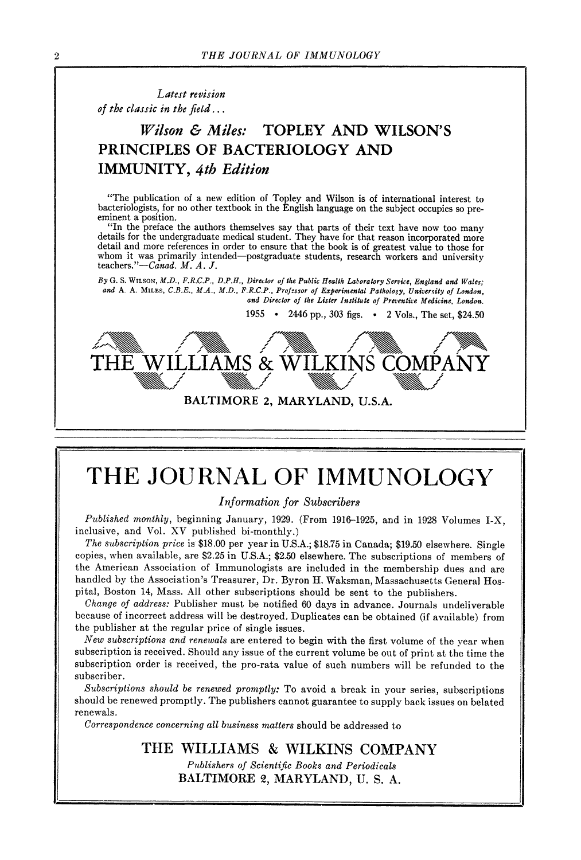*Latest revision of the classic in the field...* 

#### *Wilson & Miles:* **TOPLEY AND WILSON'S PRINCIPLES OF BACTERIOLOGY AND IMMUNITY,** *4th Edition*

"The publication of a new edition of Topley and Wilson is of international interest to bacteriologists, for no other textbook in the English language on the subject occupies so preeminent a position.

"In the preface the authors themselves say that parts of their text have now too many details for the undergraduate medical student. They have for that reason incorporated more detail and more references in order to ensure that the book is of greatest value to those for whom it was primarily intended--postgraduate students, research workers and university *teachers."--Canad. M. A. J.* 

 $By G. S. Wt.$  Son, *M.D., F.R.C.P.*, *D.P.H., Director of the Public Health Laboratory Service, England and Wales;* and A. A. MILES, *C.B.E., M.A., M.D., F.R.C.P., Professor of Experimental Pathology, University of London*, and Director of the Lister Institute of Preventive Medicine, London.

1955 • 2446 pp., 303 figs. • 2 Vols., The set, \$24.50



## **THE JOURNAL OF IMMUNOLOGY**

*Information for Subscribers* 

*Published monthly,* beginning January, 1929. (From 1916-1925, and in 1928 Volumes I-X, inclusive, and Vol. XV published bi-monthly.)

*The subscription price* is \$18.00 per year in U.S.A.; \$18.75 in Canada; \$19.50 elsewhere. Single copies, when available, are \$2.25 in U.S.A.; \$2.50 elsewhere. The subscriptions of members of the American Association of Immunologists are included in the membership dues and are handled by the Association's Treasurer, Dr. Byron H. Waksman, Massachusetts General Hospital, Boston 14, Mass. All other subscriptions should be sent to the publishers.

*Change of address:* Publisher must be notified 60 days in advance. Journals undeliverable because of incorrect address wilt be destroyed. Duplicates can be obtained (if available) from the publisher at the regular price of single issues.

*New subscriptions and renewals* are entered to begin with the first volume of the year when subscription is received. Should any issue of the current volume be out of print at the time the subscription order is received, the pro-rata value of such numbers will be refunded to the subscriber.

*Subscriptions should be renewed promptly:* To avoid a break in your series, subscriptions should be renewed promptly. The publishers cannot guarantee to supply back issues on belated renewals.

*Correspondence concerning all business matters* should be addressed to

THE **WILLIAMS & WILKINS** COMPANY *Publishers of Scientific Books and Periodicals*  BALTIMORE 2, MARYLAND, U.S. A.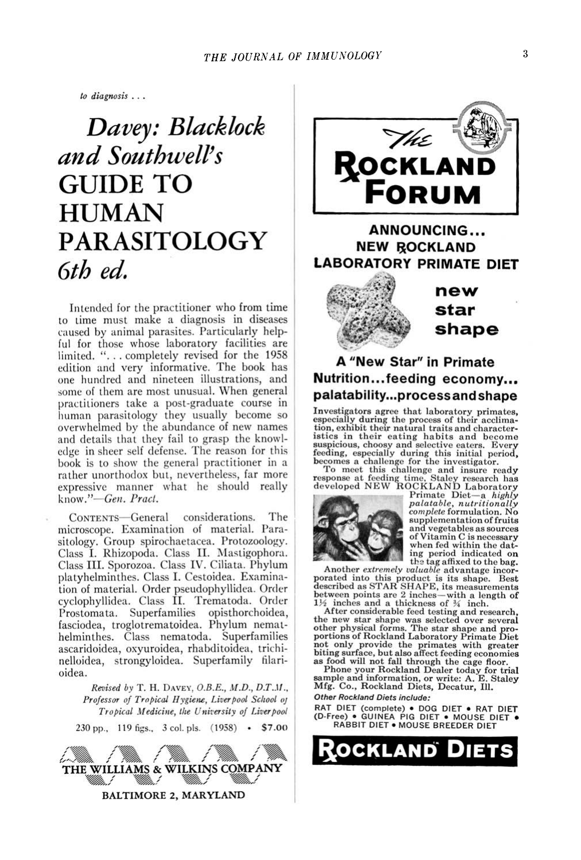$to$  *diagnosis* ...

## *Davey: Blacklock* and Southwell's GUIDE TO **HUMAN PARASITOLOGY** *<u>Gth</u>* ed.

Intended for the practitioner who from time to time must make a diagnosis in diseases caused by animal parasites. Particularly helpful for those whose laboratory facilities are  $l$ imited.  $\ddots$  completely revised for the 1958 edition and very informative. The book has one hundred and nineteen illustrations, and some of them are most unusual. When general practitioners take a post-graduate course in human parasitology they usually become so overwhelmed by the abundance of new names and details that they fail to grasp the knowledge in sheer self defense. The reason for this book is to show the general practitioner in a<br>rather unorthodox but, nevertheless, far more ather unormous but, heverthered, at more  $\sum_{i=1}^{n}$  $known.''$ -Gen. Pract.

CONTENTS-General considerations. The microscope. Examination of material. Parasitology. Group spirochaetacea. Protozoology.<br>Class I. Rhizopoda. Class II. Mastigophora. Class III. Sporozoa. Class IV. Ciliata. Phylum platyhelminthes. Class I. Cestoidea. Examination of material. Order pseudophyllidea. Order cyclophyllidea. Class II. Trematoda. Order prostomata Superfamilies opisthorchoidea. asciodea troglotrematoidea. Phylum nemathelminthes. Class nematoda. Superfamilies ascaridoidea, oxyuroidea, rhabditoidea, trichirelloidea, strongvloidea. Superfamily filarihelminthes. Comparison is considered to the contract of the superface of  $\mathcal{L}$ 

Revised by T. H. DAVEY,  $O.B.E., M.D., D.T.M.,$ Professor of Tropical Hygiene, Liverpool School of Tropical Medicine, the University of Liverpool **REVISED BY A PARTICULAR PROPERTY** 





### **NEW ROCKLAND LABORATORY PRIMATE DIET**



new **star shape** 

#### **A** "New Star" in Primate **Nutrition…feeding economy...**<br>palatability...processandshape p<del>endid entry in processed individual</del>

**parameters** during the process of their acclimation on ships that  $\frac{1}{2}$ **Institute is a state of the process and become secondly during this initial period,** especially during this initial period, becomes a challenge for the investigator.

To meet this challenge and insure ready<br>response at feeding time, Staley research has<br>developed NEW ROCKLAND Laboratory.<br>Pimate Diet—a highly



 $palatable,$  nutritionally<br>complete formulation. No supplementation of fruits<br>and vegetables as sources<br>of Vitamin C is necessary when fed within the dating period indicated on

the tag affixed to the bag.<br>Another *extremely valuable* advantage incororated into this product is its shape. Best<br>described as STAR SHAPE, its measurements<br>between points are 2 inches—with a length of<br> $\frac{1}{2}$  inches and a thickness of  $\frac{3}{4}$  inch.<br>After considerable feed testing and res

Frict considerable leed testing and research,<br>the new star shape was selected over several<br>options of Rockland Laboratory Primate Diet Fried the **heating and research**, the *new starts* over the *new starts* over the *n*ew star shape with *greater* as food will not fall through the cage floor.<br>Phone your Rockland Dealer today for trial

**sample and information, or write: A. E. Staley Mfg. Co., Rockland Diets, Decatur, Ill. Other Rockland Diets include:** 

riner Rockland Diets include:<br>RAT DIET (complete) • DOG DIET • RAT DIE<mark>T</mark><br>D-Free) • GUINEA PIG DIET • MOUSE DIET • *Other Rockland Diets include:* 

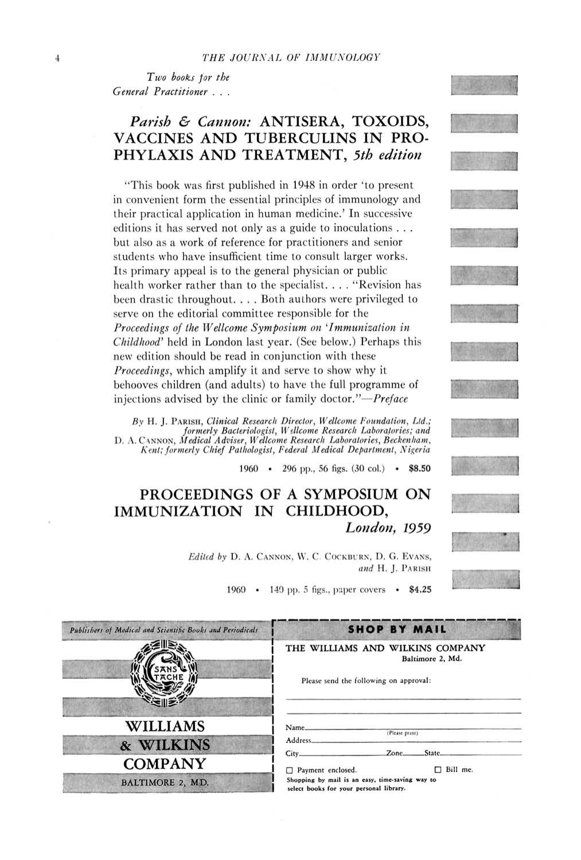$Two$  books for the *General Practitioner . . .* 

#### *Parish & Cannon:* **ANTISERA, TOXOIDS, VACCINES AND TUBERCULINS IN PRO-PHYLAXIS AND TREATMENT,** *5th edition*

"This book was first published in 1948 in order 'to present in convenient form the essential principles of immunology and their practical application in human medicine.' In successive editions it has served not only as a guide to inoculations... but also as a work of reference for practitioners and senior students who have insufficient time to consult larger works. Its primary appeal is to the general physician or public health worker rather than to the specialist. . . . "Revision has been drastic throughout. . . . Both authors were privileged to serve on the editorial committee responsible for the *Proceedings of the Wellcome Symposium on 'Immunization in Childhood'* held in London last year. (See below.) Perhaps this new edition should be read in conjunction with these *Proceedings,* which amplify it and serve to show why it behooves children (and adults) to have the full programme of injections advised by the clinic or family *doctor."--Preface* 

*By* H. J. PARISH, *Clinical Research Director, Wellcome Foundation, Ltd.; formerly Bacteriologist, Wellcome Research Laboratories; and* D. A. C4NNON, *Medical Adviser, Wellcome Research Laboratories, Beckenham*, *Kent; formerly Chief Pathologist, Federal Medical Department, Nigeria* 

1960 • 296 pp., 56 figs. (30 col.) • \$8.50

#### **PROCEEDINGS OF A SYMPOSIUM ON IMMUNIZATION IN CHILDHOOD,**  *London, 1959*

Edited by D. A. CANNON, W. C. COCKBURN, D. G. EVANS, and H. J. PARISH

1960 • 140 pp. 5 figs., paper covers • \$4.25

| Publishers of Medical and Scientific Books and Periodicals | SHOP BY MAIL                                                                                   |  |
|------------------------------------------------------------|------------------------------------------------------------------------------------------------|--|
|                                                            | THE WILLIAMS AND WILKINS COMPANY<br>Baltimore 2, Md.<br>Please send the following on approval: |  |
| <b>WILLIAMS</b>                                            | Name.<br>(Please print)<br>Address.                                                            |  |
| & WILKINS                                                  | <b>State</b><br>Zone.<br>City.                                                                 |  |
| <b>COMPANY</b>                                             | Bill me.<br>Payment enclosed.<br>п                                                             |  |
| <b>BALTIMORE 2, MD.</b>                                    | Shopping by mail is an easy, time-saving way to<br>select books for your personal library.     |  |
|                                                            |                                                                                                |  |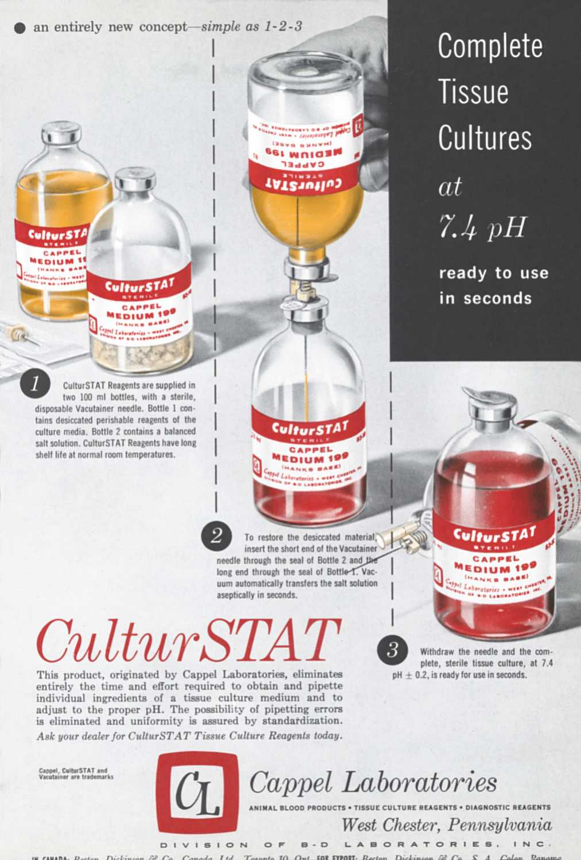an entirely new concept—simple as  $1-2-3$ 

CulturSTAT Reagents are supplied in two 100 ml bottles, with a sterile, disposable Vacutainer needle. Bottle 1 contains desiccated perishable reagents of the culture media. Bottle 2 contains a balanced salt solution. CulturSTAT Reagents have long shelf life at normal room temperatures.

**"** ~- ~'~ **MEDIUM IgY** 

 $\sim$ 

CAPPEL<sub>-1</sub>

CulturS

**CulturST** CARPEL **EDIUM IF** 

**Crest** 

**Complete Tissue Cultures**  *at 7.4* 

**ready to use in seconds** 

To restore the desiccated material, insert the short end of the Vacutainer needle through the seal of Bottle 2 and the long end through the seal of Bottle-1. Vacuum automatically transfers the salt solution aseptically in seconds.

CulturSTA1 **CAPPEL** EDIUM 199 ANKS BARE

 $\mathcal{L}$  is the set of  $\mathcal{L}$ 

**INNAKE BYF BI WAIGEN** CVbbEr **TATZIUTIUS** 

**I** 

**I** 

**I** 

**I** 

**I** 

# $CulturSTA$

This product, originated by Cappel Laboratories, eliminates entirely the time and effort required to obtain and pipette individual ingredients of a tissue culture medium and to adjust to the proper pH. The possibility of pipetting errors is eliminated and uniformity is assured by standardization. *Ask your dealer for CulturSTAT Tissue Culture Reagents today.* 

Withdraw the needle and the complete, sterile tissue culture, at 7.4  $pH + 0.2$ , is ready for use in seconds.

CulturSTA<sup>1</sup> **CAPPEL** EDIUM 19 HANKS BABE)

Cappe], CulturSTAT **and Vacutainer are** trademarks



*Q Cappel Laboratories* 

**NTS • DIAGNOSTIC REAGENTS** *West Chester, Pennsylvania* 

DIVISION OF B-D LABORATORIES, INC. IN CANADA, Dector, Dictionary St. Co. Canada, Ltd Rector Dickinson B. Co S. A.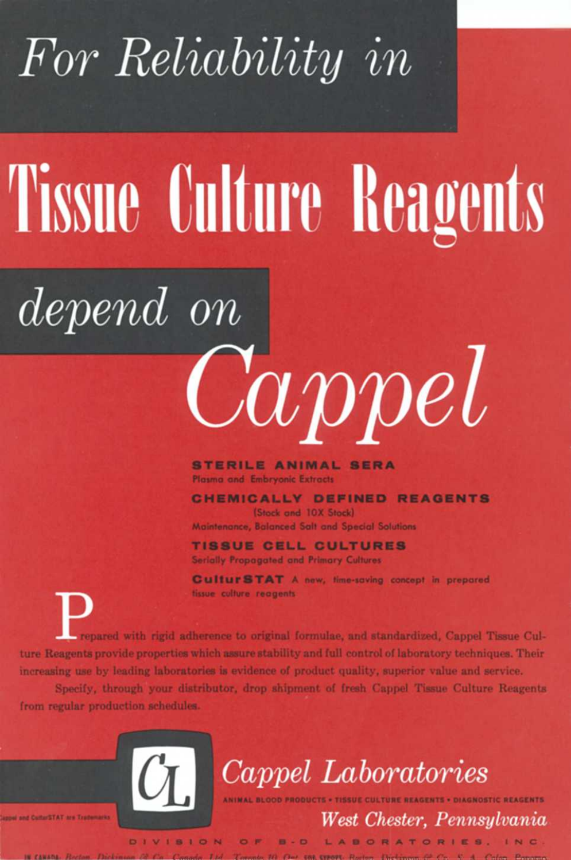## *For Reliability in*

# **Tissue Culture Reagents**

# *depend On*

**STERILE ANIMAL SERA**  Plasma and Embryonic Extracts

**CHEMICALLY DEFINED REAGENTS**  (Stock and 10X Stock) Maintenance, Balanced Salt and Special Solutions

*Cappel* 

**TISSUE CELL CULTURES**  Serially Propagated and Primary Cultures

CulturSTAT A new, time-saving concept in prepared tissue culture reagents

**P** repared with rigid adherence to original formulae, and standardized, Cappel Tissue Culture Reagents provide properties which assure stability and full control of laboratory techniques. Their increasing use by leading laboratories is evidence of product quality, superior value and service.

Speeify, through your distributor, drop shipment of fresh Cappel Tissue Culture Reagents from regular production schedules.



*~ Cappel Laboratories* 

ANIMAL BLOOD PRODUCTS • TISSUE CULTURE REAGENTS • DIAGNOSTIC REAGENTS

*West Chester, Pennsylvania* 

D I V I S I O N O F B - D L A B O R A T O R I E S. IN C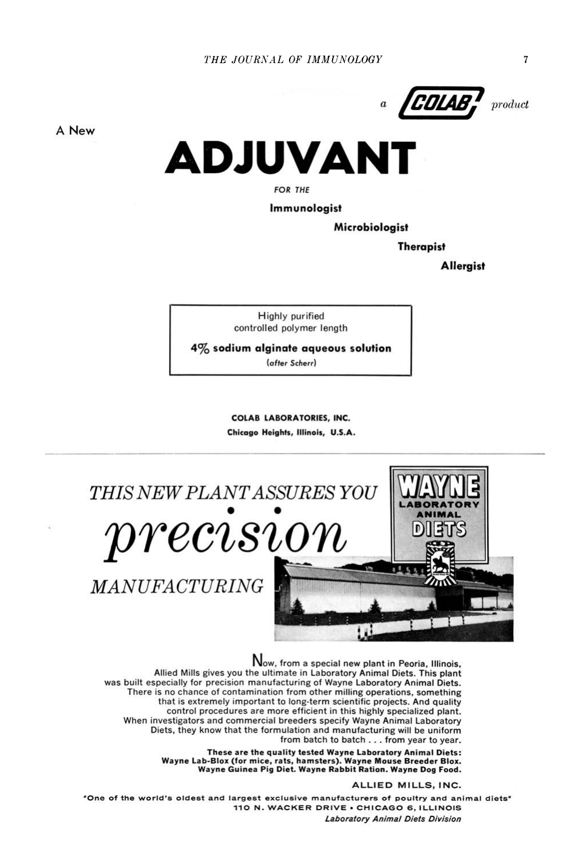

**A New** 



*FOR THE* 

**Immunologist** 

**Microbiologist** 

**Therapist** 

**Allergist** 

Highly purified controlled polymer length

**4% sodium alginate aqueous solution** 

*(after Scherr)* 

**COLAB LABORATORIES, INC. Chicago Heights, Illinois, U.S.A.** 



Now, from a special new plant in Peoria, Illinois,<br>Allied Mills gives you the ultimate in Laboratory Animal Diets. This plant was built especially for precision manufacturing of Wayne Laboratory Animal Diets. There is no chance of contamination from other milling operations, something that is extremely important to long-term scientific projects. And quality control procedures are more efficient in this highly specialized plant. When investigators and commercial breeders specify Wayne Animal Laboratory Diets, they know that the formulation and manufacturing will be uniform from batch to batch . . . from year to year.

> These are the quality tested Wayne Laboratory Animal Diets: Wayne Lab-Blox (for mice, rats, hamsters). Wayne Mouse Breeder Blox.<br>Wayne Guinea Pig Diet. Wayne Rabbit Ration. Wayne Dog Food.

> > **ALLIED MILLS, INC.**

"One of the world's oldest and largest exclusive manufacturers of poultry and animal diets" 110 N. WACKER DRIVE . CHICAGO 6, ILLINOIS Laboratory Animal Diets Division